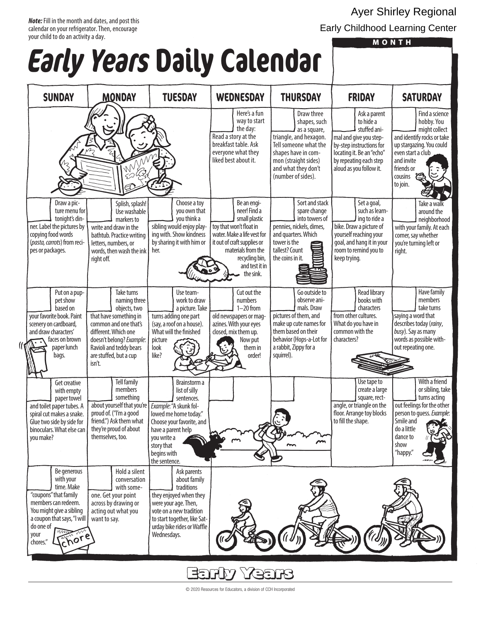#### *Note:* Fill in the month and dates, and post this calendar on your refrigerator. Then, encourage your child to do an activity a day.

# **Early Years Daily Calendar**

#### Ayer Shirley Regional Early Childhood Learning Center

| <b>MONTH</b> |  |  |
|--------------|--|--|

| COI LY                                                                                                                                                                                                          |                                                                                                                                                                                                                  | TEUR DULLY COLEHUUL                                                                                                                                                                                            |                                                                                                                                                                                                              |                                                                                                                                                                                           |                                                                                                                                                                                   |                                                                                                                                                                                               |
|-----------------------------------------------------------------------------------------------------------------------------------------------------------------------------------------------------------------|------------------------------------------------------------------------------------------------------------------------------------------------------------------------------------------------------------------|----------------------------------------------------------------------------------------------------------------------------------------------------------------------------------------------------------------|--------------------------------------------------------------------------------------------------------------------------------------------------------------------------------------------------------------|-------------------------------------------------------------------------------------------------------------------------------------------------------------------------------------------|-----------------------------------------------------------------------------------------------------------------------------------------------------------------------------------|-----------------------------------------------------------------------------------------------------------------------------------------------------------------------------------------------|
| <b>SUNDAY</b>                                                                                                                                                                                                   | <b>MONDAY</b>                                                                                                                                                                                                    | <b>TUESDAY</b>                                                                                                                                                                                                 | <b>WEDNESDAY</b>                                                                                                                                                                                             | <b>THURSDAY</b>                                                                                                                                                                           | <b>FRIDAY</b>                                                                                                                                                                     | <b>SATURDAY</b>                                                                                                                                                                               |
|                                                                                                                                                                                                                 | Within                                                                                                                                                                                                           |                                                                                                                                                                                                                | Here's a fun<br>way to start<br>the day:<br>Read a story at the<br>breakfast table. Ask<br>everyone what they<br>liked best about it.                                                                        | Draw three<br>shapes, such<br>as a square,<br>triangle, and hexagon.<br>Tell someone what the<br>shapes have in com-<br>mon (straight sides)<br>and what they don't<br>(number of sides). | Ask a parent<br>to hide a<br>stuffed ani-<br>mal and give you step-<br>by-step instructions for<br>locating it. Be an "echo"<br>by repeating each step<br>aloud as you follow it. | Find a science<br>hobby. You<br>might collect<br>and identify rocks or take<br>up stargazing. You could<br>even start a club<br>and invite<br>friends or<br><b>Cod</b><br>cousins<br>to join. |
| Draw a pic-<br>ture menu for<br>tonight's din-<br>ner. Label the pictures by<br>copying food words<br>(pasta, carrots) from reci-<br>pes or packages.                                                           | Splish, splash!<br>Use washable<br>markers to<br>write and draw in the<br>bathtub. Practice writing<br>letters, numbers, or<br>words, then wash the ink<br>right off.                                            | Choose a toy<br>you own that<br>you think a<br>sibling would enjoy play-<br>ing with. Show kindness<br>by sharing it with him or<br>her.                                                                       | Be an engi-<br>neer! Find a<br>small plastic<br>toy that won't float in<br>water. Make a life vest for<br>it out of craft supplies or<br>materials from the<br>recycling bin,<br>and test it in<br>the sink. | Sort and stack<br>spare change<br>into towers of<br>pennies, nickels, dimes,<br>and quarters. Which<br>tower is the<br>tallest? Count<br>the coins in it.                                 | Set a goal,<br>such as learn-<br>ing to ride a<br>bike. Draw a picture of<br>yourself reaching your<br>goal, and hang it in your<br>room to remind you to<br>keep trying.         | Take a walk<br>around the<br>neighborhood<br>with your family. At each<br>corner, say whether<br>you're turning left or<br>right.                                                             |
| Put on a pup-<br>pet show<br>based on<br>your favorite book. Paint<br>scenery on cardboard,<br>and draw characters'<br>faces on brown<br>paper lunch<br>bags.                                                   | Take turns<br>naming three<br>objects, two<br>that have something in<br>common and one that's<br>different. Which one<br>doesn't belong? Example:<br>Ravioli and teddy bears<br>are stuffed, but a cup<br>isn't. | Use team-<br>work to draw<br>a picture. Take<br>turns adding one part<br>(say, a roof on a house).<br>What will the finished<br>picture<br>look<br>like?                                                       | Cut out the<br>numbers<br>$1 - 20$ from<br>old newspapers or mag-<br>azines. With your eyes<br>closed, mix them up.<br>Now put<br>them in<br>order!                                                          | Go outside to<br>observe ani-<br>mals. Draw<br>pictures of them, and<br>make up cute names for<br>them based on their<br>behavior (Hops-a-Lot for<br>a rabbit, Zippy for a<br>squirrel).  | <b>Read library</b><br>books with<br>characters<br>from other cultures.<br>What do you have in<br>common with the<br>characters?                                                  | Have family<br>members<br>take turns<br>saying a word that<br>describes today (rainy,<br>busy). Say as many<br>words as possible with-<br>out repeating one.                                  |
| Get creative<br>with empty<br>paper towel<br>and toilet paper tubes. A<br>spiral cut makes a snake.<br>Glue two side by side for<br>binoculars. What else can<br>you make?                                      | <b>Tell family</b><br>members<br>something<br>about yourself that you're<br>proud of. ("I'm a good<br>friend.") Ask them what<br>they're proud of about<br>themselves, too.                                      | Brainstorm a<br>list of silly<br>sentences.<br>Example: "A skunk fol-<br>lowed me home today."<br>Choose your favorite, and<br>have a parent help<br>you write a<br>story that<br>begins with<br>the sentence. |                                                                                                                                                                                                              | $\sim$<br>$\sim$                                                                                                                                                                          | Use tape to<br>create a large<br>square, rect-<br>angle, or triangle on the<br>floor. Arrange toy blocks<br>to fill the shape.                                                    | With a friend<br>or sibling, take<br>turns acting<br>out feelings for the other<br>person to quess. Example:<br>Smile and<br>do a little<br>dance to<br>show<br>"happy."                      |
| Be generous<br>with your<br>time. Make<br>"coupons" that family<br>members can redeem.<br>You might give a sibling<br>a coupon that says, "I will<br>do one of<br>um<br>$\sqrt{M}$<br>your<br>chore<br>chores." | Hold a silent<br>conversation<br>with some-<br>one. Get your point<br>across by drawing or<br>acting out what you<br>want to say.                                                                                | Ask parents<br>about family<br>traditions<br>they enjoyed when they<br>were your age. Then,<br>vote on a new tradition<br>to start together, like Sat-<br>urday bike rides or Waffle<br>Wednesdays.            |                                                                                                                                                                                                              |                                                                                                                                                                                           |                                                                                                                                                                                   |                                                                                                                                                                                               |

**Early Years** © 2020 Resources for Educators, a division of CCH Incorporated